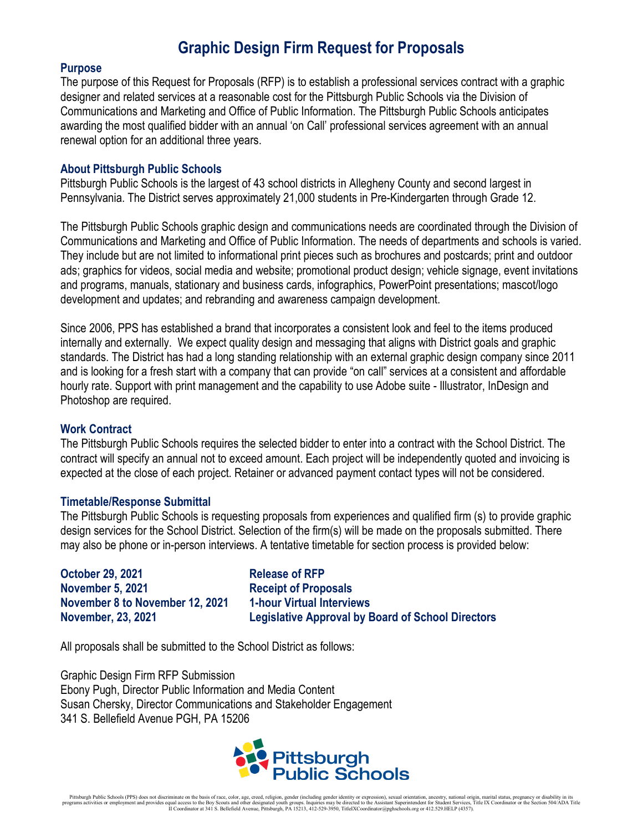## **Graphic Design Firm Request for Proposals**

#### **Purpose**

The purpose of this Request for Proposals (RFP) is to establish a professional services contract with a graphic designer and related services at a reasonable cost for the Pittsburgh Public Schools via the Division of Communications and Marketing and Office of Public Information. The Pittsburgh Public Schools anticipates awarding the most qualified bidder with an annual 'on Call' professional services agreement with an annual renewal option for an additional three years.

#### **About Pittsburgh Public Schools**

Pittsburgh Public Schools is the largest of 43 school districts in Allegheny County and second largest in Pennsylvania. The District serves approximately 21,000 students in Pre-Kindergarten through Grade 12.

The Pittsburgh Public Schools graphic design and communications needs are coordinated through the Division of Communications and Marketing and Office of Public Information. The needs of departments and schools is varied. They include but are not limited to informational print pieces such as brochures and postcards; print and outdoor ads; graphics for videos, social media and website; promotional product design; vehicle signage, event invitations and programs, manuals, stationary and business cards, infographics, PowerPoint presentations; mascot/logo development and updates; and rebranding and awareness campaign development.

Since 2006, PPS has established a brand that incorporates a consistent look and feel to the items produced internally and externally. We expect quality design and messaging that aligns with District goals and graphic standards. The District has had a long standing relationship with an external graphic design company since 2011 and is looking for a fresh start with a company that can provide "on call" services at a consistent and affordable hourly rate. Support with print management and the capability to use Adobe suite - Illustrator, InDesign and Photoshop are required.

### **Work Contract**

The Pittsburgh Public Schools requires the selected bidder to enter into a contract with the School District. The contract will specify an annual not to exceed amount. Each project will be independently quoted and invoicing is expected at the close of each project. Retainer or advanced payment contact types will not be considered.

#### **Timetable/Response Submittal**

The Pittsburgh Public Schools is requesting proposals from experiences and qualified firm (s) to provide graphic design services for the School District. Selection of the firm(s) will be made on the proposals submitted. There may also be phone or in-person interviews. A tentative timetable for section process is provided below:

**October 29, 2021 Release of RFP November 5, 2021 Receipt of Proposals November 8 to November 12, 2021 1-hour Virtual Interviews**

**November, 23, 2021 Legislative Approval by Board of School Directors**

All proposals shall be submitted to the School District as follows:

Graphic Design Firm RFP Submission Ebony Pugh, Director Public Information and Media Content Susan Chersky, Director Communications and Stakeholder Engagement 341 S. Bellefield Avenue PGH, PA 15206

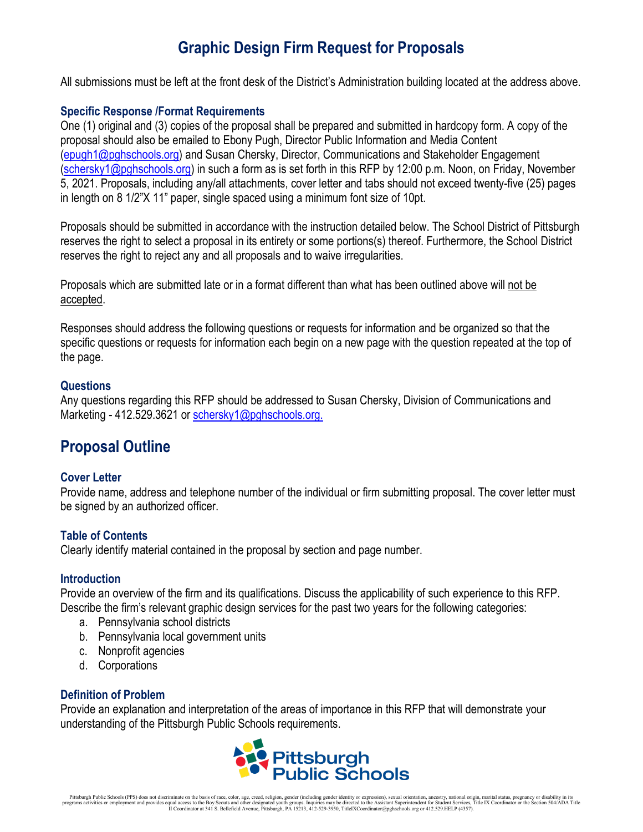# **Graphic Design Firm Request for Proposals**

All submissions must be left at the front desk of the District's Administration building located at the address above.

## **Specific Response /Format Requirements**

One (1) original and (3) copies of the proposal shall be prepared and submitted in hardcopy form. A copy of the proposal should also be emailed to Ebony Pugh, Director Public Information and Media Content [\(epugh1@pghschools.org\)](mailto:epugh1@pghschools.org) and Susan Chersky, Director, Communications and Stakeholder Engagement [\(schersky1@pghschools.org\)](mailto:schersky1@pghschools.org) in such a form as is set forth in this RFP by 12:00 p.m. Noon, on Friday, November 5, 2021. Proposals, including any/all attachments, cover letter and tabs should not exceed twenty-five (25) pages in length on 8 1/2"X 11" paper, single spaced using a minimum font size of 10pt.

Proposals should be submitted in accordance with the instruction detailed below. The School District of Pittsburgh reserves the right to select a proposal in its entirety or some portions(s) thereof. Furthermore, the School District reserves the right to reject any and all proposals and to waive irregularities.

Proposals which are submitted late or in a format different than what has been outlined above will not be accepted.

Responses should address the following questions or requests for information and be organized so that the specific questions or requests for information each begin on a new page with the question repeated at the top of the page.

## **Questions**

Any questions regarding this RFP should be addressed to Susan Chersky, Division of Communications and Marketing - 412.529.3621 or [schersky1@pghschools.org.](mailto:schersky1@pghschools.org.)

## **Proposal Outline**

## **Cover Letter**

Provide name, address and telephone number of the individual or firm submitting proposal. The cover letter must be signed by an authorized officer.

## **Table of Contents**

Clearly identify material contained in the proposal by section and page number.

### **Introduction**

Provide an overview of the firm and its qualifications. Discuss the applicability of such experience to this RFP. Describe the firm's relevant graphic design services for the past two years for the following categories:

- a. Pennsylvania school districts
- b. Pennsylvania local government units
- c. Nonprofit agencies
- d. Corporations

### **Definition of Problem**

Provide an explanation and interpretation of the areas of importance in this RFP that will demonstrate your understanding of the Pittsburgh Public Schools requirements.